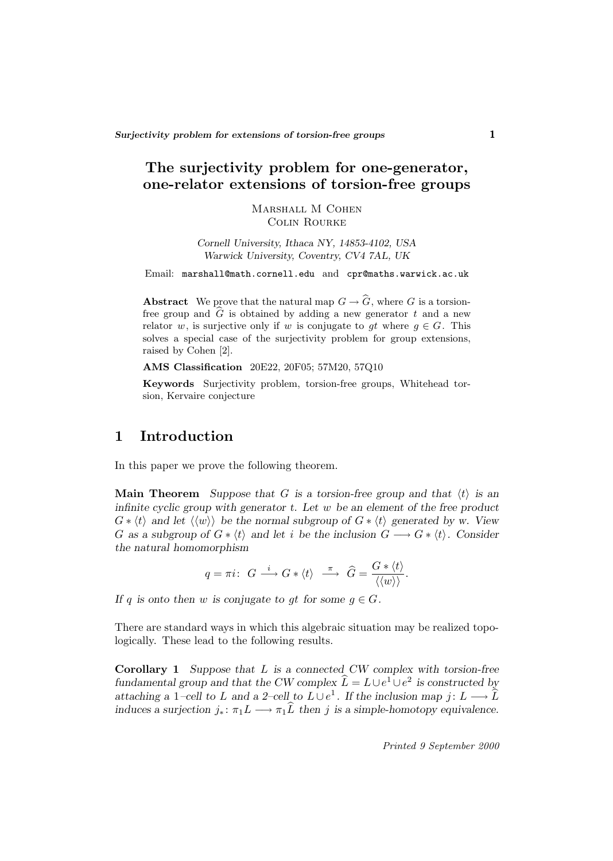# **The surjectivity problem for one-generator, one-relator extensions of torsion-free groups**

Marshall M Cohen Colin Rourke

*Cornell University, Ithaca NY, 14853-4102, USA Warwick University, Coventry, CV4 7AL, UK*

Email: marshall@math.cornell.edu and cpr@maths.warwick.ac.uk

**Abstract** We prove that the natural map  $G \to \widehat{G}$ , where G is a torsionfree group and  $\widehat{G}$  is obtained by adding a new generator t and a new relator w, is surjective only if w is conjugate to gt where  $g \in G$ . This solves a special case of the surjectivity problem for group extensions, raised by Cohen [2].

**AMS Classification** 20E22, 20F05; 57M20, 57Q10

**Keywords** Surjectivity problem, torsion-free groups, Whitehead torsion, Kervaire conjecture

## **1 Introduction**

In this paper we prove the following theorem.

**Main Theorem** *Suppose that* G *is a torsion-free group and that*  $\langle t \rangle$  *is an infinite cyclic group with generator t. Let* w *be an element of the free product*  $G * \langle t \rangle$  and let  $\langle \langle w \rangle \rangle$  be the normal subgroup of  $G * \langle t \rangle$  generated by w. View G as a subgroup of  $G * \langle t \rangle$  and let *i* be the inclusion  $G \longrightarrow G * \langle t \rangle$ . Consider *the natural homomorphism*

$$
q = \pi i: \ G \xrightarrow{i} G * \langle t \rangle \xrightarrow{\pi} \widehat{G} = \frac{G * \langle t \rangle}{\langle \langle w \rangle \rangle}.
$$

*If* q is onto then w is conjugate to gt for some  $g \in G$ .

There are standard ways in which this algebraic situation may be realized topologically. These lead to the following results.

**Corollary 1** *Suppose that* L *is a connected CW complex with torsion-free fundamental group and that the CW complex*  $\hat{L} = L \cup e^1 \cup e^2$  *is constructed by attaching a* 1–cell to L and a 2–cell to  $L \cup e^1$ . If the inclusion map j:  $L \longrightarrow \widehat{L}$ *induces a surjection*  $j_* : \pi_1 L \longrightarrow \pi_1 \widehat{L}$  *then* j *is a simple-homotopy equivalence.*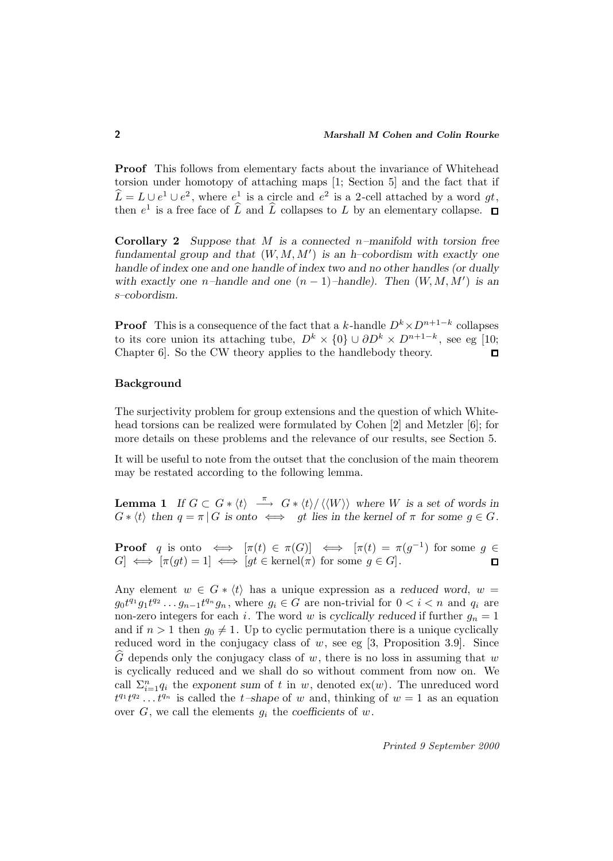**Proof** This follows from elementary facts about the invariance of Whitehead torsion under homotopy of attaching maps [1; Section 5] and the fact that if  $\widehat{L} = L \cup e^1 \cup e^2$ , where  $e^1$  is a circle and  $e^2$  is a 2-cell attached by a word gt, then  $e^1$  is a free face of  $\widehat{L}$  and  $\widehat{L}$  collapses to L by an elementary collapse.  $\Box$ 

**Corollary 2** *Suppose that* M *is a connected* n*–manifold with torsion free* fundamental group and that  $(W, M, M')$  is an h–cobordism with exactly one *handle of index one and one handle of index two and no other handles (or dually with exactly one*  $n$ *–handle and one*  $(n-1)$ *–handle). Then*  $(W, M, M')$  *is an s–cobordism.*

**Proof** This is a consequence of the fact that a k-handle  $D^k \times D^{n+1-k}$  collapses to its core union its attaching tube,  $D^k \times \{0\} \cup \partial D^k \times D^{n+1-k}$ , see eg [10; Chapter 6]. So the CW theory applies to the handlebody theory.  $\square$ 

#### **Background**

The surjectivity problem for group extensions and the question of which Whitehead torsions can be realized were formulated by Cohen [2] and Metzler [6]; for more details on these problems and the relevance of our results, see Section 5.

It will be useful to note from the outset that the conclusion of the main theorem may be restated according to the following lemma.

**Lemma 1** *If*  $G \subset G * \langle t \rangle \stackrel{\pi}{\longrightarrow} G * \langle t \rangle / \langle \langle W \rangle \rangle$  where W is a set of words in  $G * \langle t \rangle$  then  $q = \pi | G$  is onto  $\iff$  gt lies in the kernel of  $\pi$  for some  $g \in G$ .

**Proof** q is onto  $\iff [\pi(t) \in \pi(G)] \iff [\pi(t) = \pi(g^{-1})$  for some  $g \in$  $G \iff [\pi(gt) = 1] \iff [gt \in \text{kernel}(\pi) \text{ for some } g \in G].$  $\Box$ 

Any element  $w \in G * \langle t \rangle$  has a unique expression as a *reduced word*,  $w =$  $g_0t^{q_1}g_1t^{q_2}\dots g_{n-1}t^{q_n}g_n$ , where  $g_i\in G$  are non-trivial for  $0 and  $q_i$  are$ non-zero integers for each i. The word w is *cyclically reduced* if further  $g_n = 1$ and if  $n > 1$  then  $g_0 \neq 1$ . Up to cyclic permutation there is a unique cyclically reduced word in the conjugacy class of  $w$ , see eg [3, Proposition 3.9]. Since G depends only the conjugacy class of  $w$ , there is no loss in assuming that  $w$ is cyclically reduced and we shall do so without comment from now on. We call  $\Sigma_{i=1}^n q_i$  the exponent sum of t in w, denoted ex(w). The unreduced word  $t^{q_1}t^{q_2} \dots t^{q_n}$  is called the t-shape of w and, thinking of  $w = 1$  as an equation over  $G$ , we call the elements  $g_i$  the *coefficients* of  $w$ .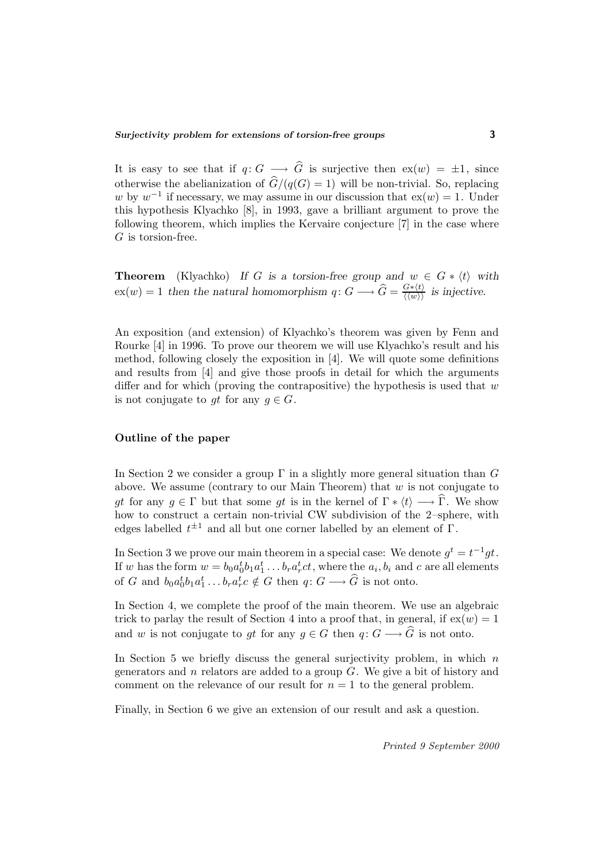It is easy to see that if  $q: G \longrightarrow \widehat{G}$  is surjective then  $ex(w) = \pm 1$ , since otherwise the abelianization of  $\hat{G}/(q(G) = 1)$  will be non-trivial. So, replacing w by  $w^{-1}$  if necessary, we may assume in our discussion that  $ex(w) = 1$ . Under this hypothesis Klyachko [8], in 1993, gave a brilliant argument to prove the following theorem, which implies the Kervaire conjecture [7] in the case where G is torsion-free.

**Theorem** (Klyachko) *If* G is a torsion-free group and  $w \in G * \langle t \rangle$  with  $ex(w) = 1$  then the natural homomorphism  $q: G \longrightarrow \widehat{G} = \frac{G*(t)}{\langle \langle w \rangle \rangle}$  is injective.

An exposition (and extension) of Klyachko's theorem was given by Fenn and Rourke [4] in 1996. To prove our theorem we will use Klyachko's result and his method, following closely the exposition in [4]. We will quote some definitions and results from [4] and give those proofs in detail for which the arguments differ and for which (proving the contrapositive) the hypothesis is used that  $w$ is not conjugate to gt for any  $g \in G$ .

### **Outline of the paper**

In Section 2 we consider a group  $\Gamma$  in a slightly more general situation than G above. We assume (contrary to our Main Theorem) that  $w$  is not conjugate to gt for any  $g \in \Gamma$  but that some gt is in the kernel of  $\Gamma * \langle t \rangle \longrightarrow \Gamma$ . We show how to construct a certain non-trivial CW subdivision of the 2–sphere, with edges labelled  $t^{\pm 1}$  and all but one corner labelled by an element of  $\Gamma$ .

In Section 3 we prove our main theorem in a special case: We denote  $q^t = t^{-1}qt$ . If w has the form  $w = b_0 a_0^t b_1 a_1^t \dots b_r a_r^t c_t$ , where the  $a_i, b_i$  and c are all elements of G and  $b_0a_0^t b_1a_1^t \ldots b_ra_r^t c \notin G$  then  $q: G \longrightarrow \widehat{G}$  is not onto.

In Section 4, we complete the proof of the main theorem. We use an algebraic trick to parlay the result of Section 4 into a proof that, in general, if  $ex(w)=1$ and w is not conjugate to gt for any  $g \in G$  then  $q: G \longrightarrow \widehat{G}$  is not onto.

In Section 5 we briefly discuss the general surjectivity problem, in which  $n$ generators and  $n$  relators are added to a group  $G$ . We give a bit of history and comment on the relevance of our result for  $n = 1$  to the general problem.

Finally, in Section 6 we give an extension of our result and ask a question.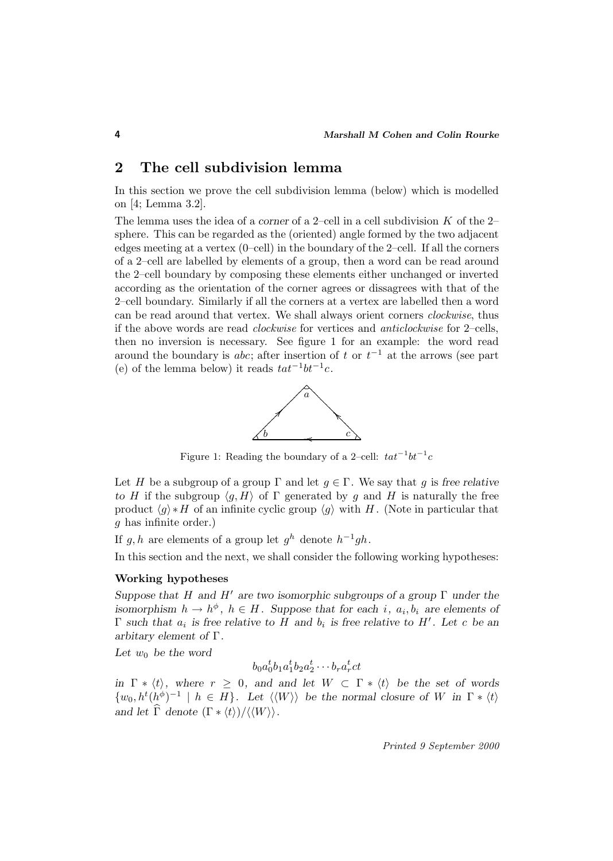## **2 The cell subdivision lemma**

In this section we prove the cell subdivision lemma (below) which is modelled on [4; Lemma 3.2].

The lemma uses the idea of a *corner* of a 2–cell in a cell subdivision K of the 2– sphere. This can be regarded as the (oriented) angle formed by the two adjacent edges meeting at a vertex (0–cell) in the boundary of the 2–cell. If all the corners of a 2–cell are labelled by elements of a group, then a word can be read around the 2–cell boundary by composing these elements either unchanged or inverted according as the orientation of the corner agrees or dissagrees with that of the 2–cell boundary. Similarly if all the corners at a vertex are labelled then a word can be read around that vertex. We shall always orient corners clockwise, thus if the above words are read clockwise for vertices and anticlockwise for 2–cells, then no inversion is necessary. See figure 1 for an example: the word read around the boundary is *abc*; after insertion of t or  $t^{-1}$  at the arrows (see part (e) of the lemma below) it reads  $tat^{-1}bt^{-1}c$ .



Figure 1: Reading the boundary of a 2–cell:  $tat^{-1}bt^{-1}c$ 

Let H be a subgroup of a group  $\Gamma$  and let  $g \in \Gamma$ . We say that g is free relative *to* H if the subgroup  $\langle q, H \rangle$  of  $\Gamma$  generated by q and H is naturally the free product  $\langle g \rangle * H$  of an infinite cyclic group  $\langle g \rangle$  with H. (Note in particular that g has infinite order.)

If g, h are elements of a group let  $g^h$  denote  $h^{-1}gh$ .

In this section and the next, we shall consider the following working hypotheses:

### **Working hypotheses**

*Suppose that* H *and* H<sup>0</sup> *are two isomorphic subgroups of a group* Γ *under the isomorphism*  $h \to h^{\phi}$ ,  $h \in H$ *. Suppose that for each i,*  $a_i, b_i$  *are elements of* Γ such that  $a_i$  is free relative to H and  $b_i$  is free relative to H'. Let c be an *arbitary element of* Γ*.*

Let  $w_0$  be the word

 $b_0a_0^tb_1a_1^tb_2a_2^t\cdots b_ra_r^tct$ 

*in*  $\Gamma * \langle t \rangle$ *, where*  $r \geq 0$ *, and and let*  $W \subset \Gamma * \langle t \rangle$  *be the set of words*  $\{w_0, h^t(h^{\phi})^{-1} \mid h \in H\}$ . Let  $\langle \langle W \rangle \rangle$  be the normal closure of W in  $\Gamma * \langle t \rangle$ *and let*  $\widehat{\Gamma}$  *denote*  $(\Gamma * \langle t \rangle) / \langle \langle W \rangle \rangle$ .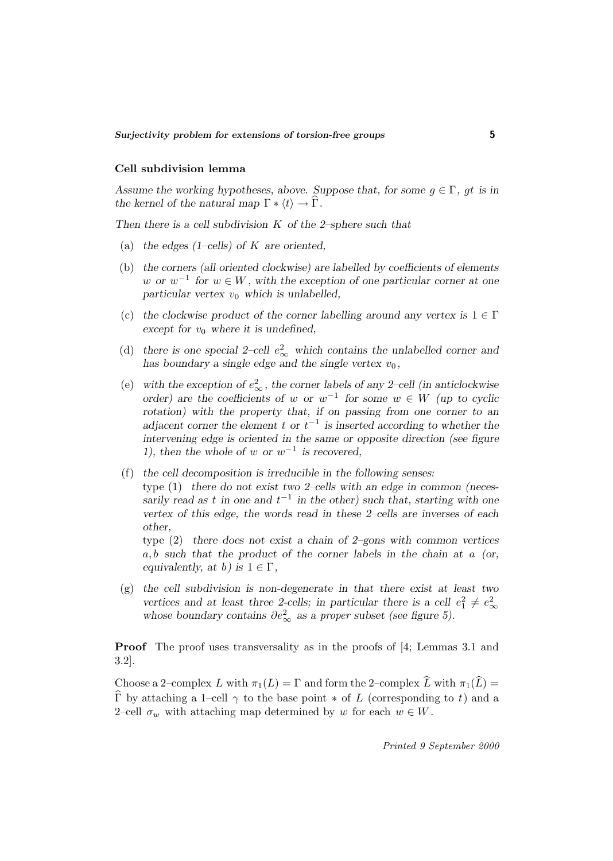#### **Cell subdivision lemma**

*Assume the working hypotheses, above. Suppose that, for some*  $g \in \Gamma$ *, gt is in the kernel of the natural map*  $\Gamma * \langle t \rangle \rightarrow \Gamma$ *.* 

*Then there is a cell subdivision* K *of the 2–sphere such that*

- (a) *the edges (1–cells) of* K *are oriented,*
- (b) *the corners (all oriented clockwise) are labelled by coefficients of elements* w or  $w^{-1}$  for  $w \in W$ , with the exception of one particular corner at one  $particular vertex v<sub>0</sub> which is unlabeled,$
- (c) the clockwise product of the corner labelling around any vertex is  $1 \in \Gamma$ *except for*  $v_0$  *where it is undefined,*
- (d) there is one special 2–cell  $e_{\infty}^2$  which contains the unlabelled corner and has boundary a single edge and the single vertex  $v_0$ ,
- (e) with the exception of  $e_{\infty}^2$ , the corner labels of any 2–cell (in anticlockwise *order)* are the coefficients of w or  $w^{-1}$  for some  $w \in W$  (up to cyclic *rotation) with the property that, if on passing from one corner to an adjacent corner the element* t or  $t^{-1}$  *is inserted according to whether the intervening edge is oriented in the same or opposite direction (see figure 1), then the whole of w or w<sup>-1</sup> is recovered,*
- (f) *the cell decomposition is irreducible in the following senses:* type (1) *there do not exist two 2–cells with an edge in common (necessarily read as* t *in one and*  $t^{-1}$  *in the other) such that, starting with one vertex of this edge, the words read in these 2–cells are inverses of each other,*

type (2) *there does not exist a chain of 2–gons with common vertices* a, b *such that the product of the corner labels in the chain at* a *(or, equivalently, at b*) *is*  $1 \in \Gamma$ *,* 

(g) *the cell subdivision is non-degenerate in that there exist at least two vertices and at least three 2-cells; in particular there is a cell*  $e_1^2 \neq e_\infty^2$ *whose boundary contains*  $\partial e_{\infty}^2$  *as a proper subset (see figure 5).* 

**Proof** The proof uses transversality as in the proofs of [4; Lemmas 3.1 and 3.2].

Choose a 2–complex L with  $\pi_1(L) = \Gamma$  and form the 2–complex  $\widehat{L}$  with  $\pi_1(\widehat{L}) =$  $\widehat{\Gamma}$  by attaching a 1–cell  $\gamma$  to the base point  $*$  of L (corresponding to t) and a 2–cell  $\sigma_w$  with attaching map determined by w for each  $w \in W$ .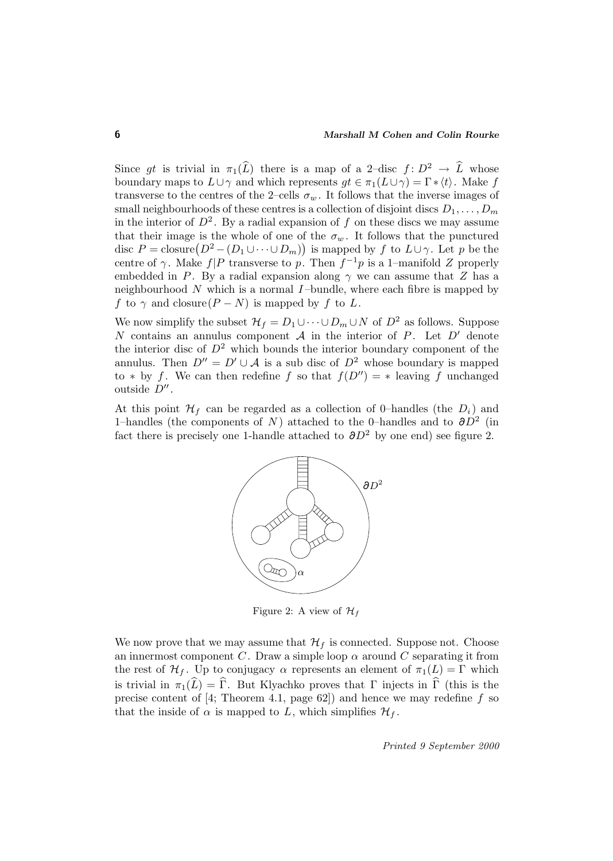Since gt is trivial in  $\pi_1(\widehat{L})$  there is a map of a 2–disc  $f : D^2 \to \widehat{L}$  whose boundary maps to  $L\cup \gamma$  and which represents  $gt \in \pi_1(L\cup \gamma)=\Gamma * \langle t \rangle$ . Make f transverse to the centres of the 2–cells  $\sigma_w$ . It follows that the inverse images of small neighbourhoods of these centres is a collection of disjoint discs  $D_1, \ldots, D_m$ in the interior of  $D^2$ . By a radial expansion of f on these discs we may assume that their image is the whole of one of the  $\sigma_w$ . It follows that the punctured disc  $P = \text{closure}(D^2 - (D_1 \cup \cdots \cup D_m))$  is mapped by f to  $L \cup \gamma$ . Let p be the centre of  $\gamma$ . Make  $f|P$  transverse to p. Then  $f^{-1}p$  is a 1–manifold Z properly embedded in P. By a radial expansion along  $\gamma$  we can assume that Z has a neighbourhood  $N$  which is a normal  $I$ -bundle, where each fibre is mapped by f to  $\gamma$  and closure( $P - N$ ) is mapped by f to L.

We now simplify the subset  $\mathcal{H}_f = D_1 \cup \cdots \cup D_m \cup N$  of  $D^2$  as follows. Suppose N contains an annulus component  $A$  in the interior of P. Let  $D'$  denote the interior disc of  $D^2$  which bounds the interior boundary component of the annulus. Then  $D'' = D' \cup A$  is a sub disc of  $D^2$  whose boundary is mapped to \* by f. We can then redefine f so that  $f(D'') = *$  leaving f unchanged outside  $D''$ .

At this point  $\mathcal{H}_f$  can be regarded as a collection of 0–handles (the  $D_i$ ) and 1–handles (the components of N) attached to the 0–handles and to  $\partial D^2$  (in fact there is precisely one 1-handle attached to  $\partial D^2$  by one end) see figure 2.



Figure 2: A view of  $\mathcal{H}_f$ 

We now prove that we may assume that  $\mathcal{H}_f$  is connected. Suppose not. Choose an innermost component C. Draw a simple loop  $\alpha$  around C separating it from the rest of  $\mathcal{H}_f$ . Up to conjugacy  $\alpha$  represents an element of  $\pi_1(L) = \Gamma$  which is trivial in  $\pi_1(\widehat{L}) = \widehat{\Gamma}$ . But Klyachko proves that  $\Gamma$  injects in  $\widehat{\Gamma}$  (this is the precise content of [4; Theorem 4.1, page 62]) and hence we may redefine  $f$  so that the inside of  $\alpha$  is mapped to L, which simplifies  $\mathcal{H}_f$ .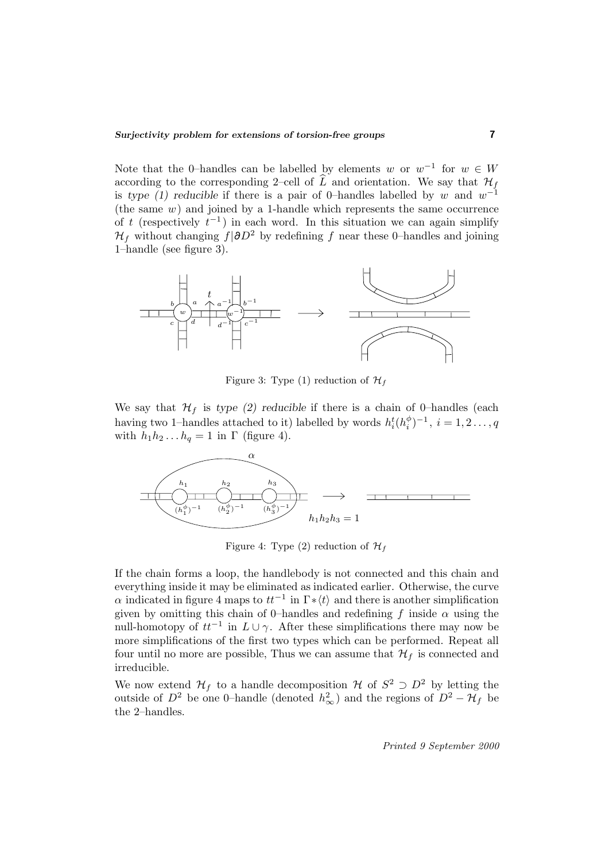Note that the 0–handles can be labelled by elements w or  $w^{-1}$  for  $w \in W$ according to the corresponding 2–cell of  $\widehat{L}$  and orientation. We say that  $\mathcal{H}_f$ is *type (1) reducible* if there is a pair of 0–handles labelled by w and  $w^{-1}$ (the same  $w$ ) and joined by a 1-handle which represents the same occurrence of t (respectively  $t^{-1}$ ) in each word. In this situation we can again simplify  $\mathcal{H}_f$  without changing  $f|\partial D^2$  by redefining f near these 0–handles and joining 1–handle (see figure 3).



Figure 3: Type (1) reduction of  $\mathcal{H}_f$ 

We say that  $\mathcal{H}_f$  is *type (2) reducible* if there is a chain of 0–handles (each having two 1–handles attached to it) labelled by words  $h_i^t(h_i^{\phi})^{-1}$ ,  $i = 1, 2, ..., q$ with  $h_1h_2 \ldots h_q = 1$  in  $\Gamma$  (figure 4).



Figure 4: Type (2) reduction of  $\mathcal{H}_f$ 

If the chain forms a loop, the handlebody is not connected and this chain and everything inside it may be eliminated as indicated earlier. Otherwise, the curve  $\alpha$  indicated in figure 4 maps to  $tt^{-1}$  in  $\Gamma*\langle t\rangle$  and there is another simplification given by omitting this chain of 0–handles and redefining f inside  $\alpha$  using the null-homotopy of  $tt^{-1}$  in  $L \cup \gamma$ . After these simplifications there may now be more simplifications of the first two types which can be performed. Repeat all four until no more are possible, Thus we can assume that  $\mathcal{H}_f$  is connected and irreducible.

We now extend  $\mathcal{H}_f$  to a handle decomposition H of  $S^2 \supset D^2$  by letting the outside of  $D^2$  be one 0–handle (denoted  $h^2_{\infty}$ ) and the regions of  $D^2 - \mathcal{H}_f$  be the 2–handles.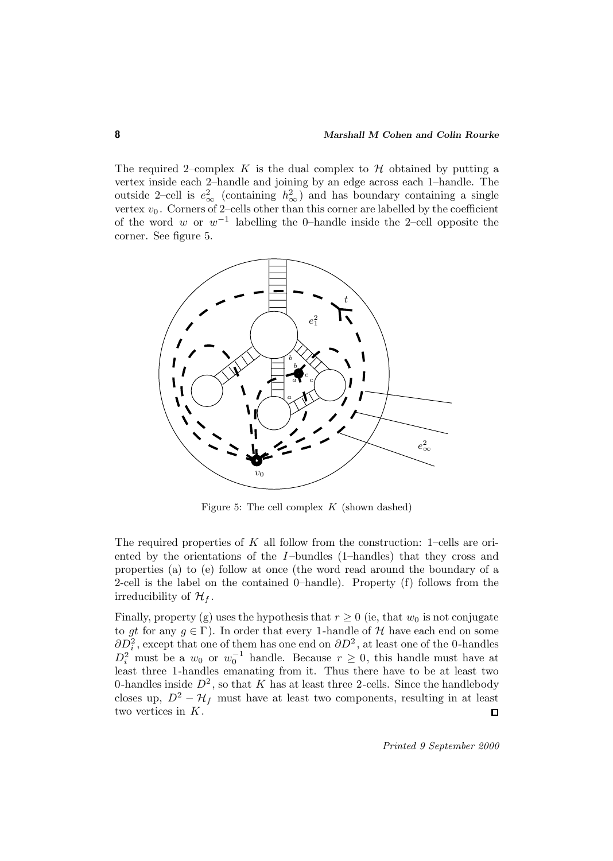The required 2–complex K is the dual complex to  $\mathcal H$  obtained by putting a vertex inside each 2–handle and joining by an edge across each 1–handle. The outside 2–cell is  $e_{\infty}^2$  (containing  $h_{\infty}^2$ ) and has boundary containing a single vertex  $v_0$ . Corners of 2–cells other than this corner are labelled by the coefficient of the word w or  $w^{-1}$  labelling the 0–handle inside the 2–cell opposite the corner. See figure 5.



Figure 5: The cell complex  $K$  (shown dashed)

The required properties of  $K$  all follow from the construction: 1–cells are oriented by the orientations of the I-bundles (1-handles) that they cross and properties (a) to (e) follow at once (the word read around the boundary of a 2-cell is the label on the contained 0–handle). Property (f) follows from the irreducibility of  $\mathcal{H}_f$ .

Finally, property (g) uses the hypothesis that  $r \geq 0$  (ie, that  $w_0$  is not conjugate to gt for any  $g \in \Gamma$ ). In order that every 1-handle of H have each end on some  $\partial D_i^2$ , except that one of them has one end on  $\partial D^2$ , at least one of the 0-handles  $D_i^2$  must be a  $w_0$  or  $w_0^{-1}$  handle. Because  $r \geq 0$ , this handle must have at least three 1-handles emanating from it. Thus there have to be at least two 0-handles inside  $D^2$ , so that K has at least three 2-cells. Since the handlebody closes up,  $D^2 - H_f$  must have at least two components, resulting in at least two vertices in K.  $\Box$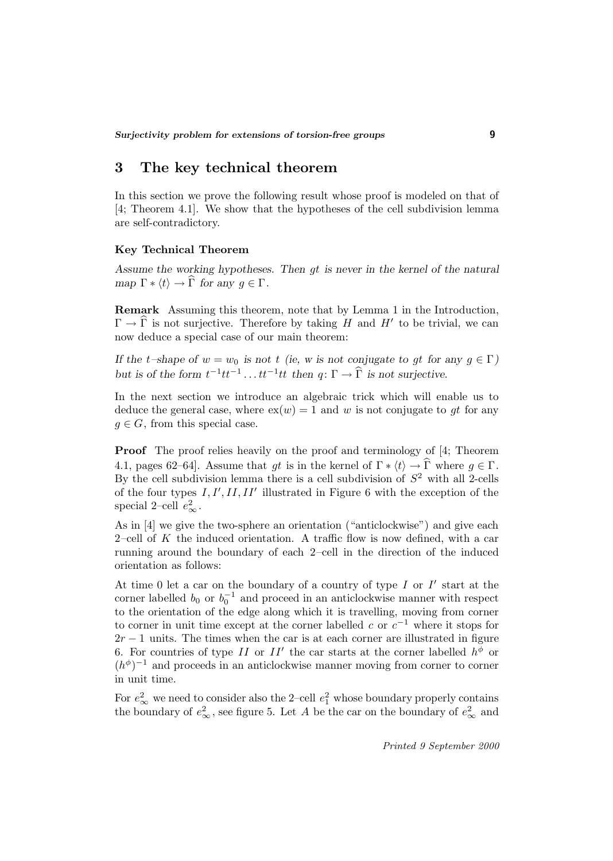## **3 The key technical theorem**

In this section we prove the following result whose proof is modeled on that of [4; Theorem 4.1]. We show that the hypotheses of the cell subdivision lemma are self-contradictory.

### **Key Technical Theorem**

*Assume the working hypotheses. Then* gt *is never in the kernel of the natural map*  $\Gamma * \langle t \rangle \to \widehat{\Gamma}$  *for any*  $q \in \Gamma$ *.* 

**Remark** Assuming this theorem, note that by Lemma 1 in the Introduction,  $\Gamma \to \Gamma$  is not surjective. Therefore by taking H and H' to be trivial, we can now deduce a special case of our main theorem:

*If the*  $t$ –shape of  $w = w_0$  *is not*  $t$  *(ie, w is not conjugate to gt for any*  $g \in \Gamma$ *) but is of the form*  $t^{-1}tt^{-1}$ ...  $tt^{-1}tt$  *then*  $q: \Gamma \to \widehat{\Gamma}$  *is not surjective.* 

In the next section we introduce an algebraic trick which will enable us to deduce the general case, where  $ex(w) = 1$  and w is not conjugate to gt for any  $g \in G$ , from this special case.

**Proof** The proof relies heavily on the proof and terminology of [4; Theorem 4.1, pages 62–64]. Assume that gt is in the kernel of  $\Gamma * \langle t \rangle \to \Gamma$  where  $g \in \Gamma$ . By the cell subdivision lemma there is a cell subdivision of  $S^2$  with all 2-cells of the four types  $I, I', II, II'$  illustrated in Figure 6 with the exception of the special 2–cell  $e_{\infty}^2$ .

As in [4] we give the two-sphere an orientation ("anticlockwise") and give each 2–cell of  $K$  the induced orientation. A traffic flow is now defined, with a car running around the boundary of each 2–cell in the direction of the induced orientation as follows:

At time 0 let a car on the boundary of a country of type  $I$  or  $I'$  start at the corner labelled  $b_0$  or  $b_0^{-1}$  and proceed in an anticlockwise manner with respect to the orientation of the edge along which it is travelling, moving from corner to corner in unit time except at the corner labelled c or  $c^{-1}$  where it stops for  $2r - 1$  units. The times when the car is at each corner are illustrated in figure 6. For countries of type II or II' the car starts at the corner labelled  $h^{\phi}$  or  $(h^{\phi})^{-1}$  and proceeds in an anticlockwise manner moving from corner to corner in unit time.

For  $e_{\infty}^2$  we need to consider also the 2–cell  $e_1^2$  whose boundary properly contains the boundary of  $e_{\infty}^2$ , see figure 5. Let A be the car on the boundary of  $e_{\infty}^2$  and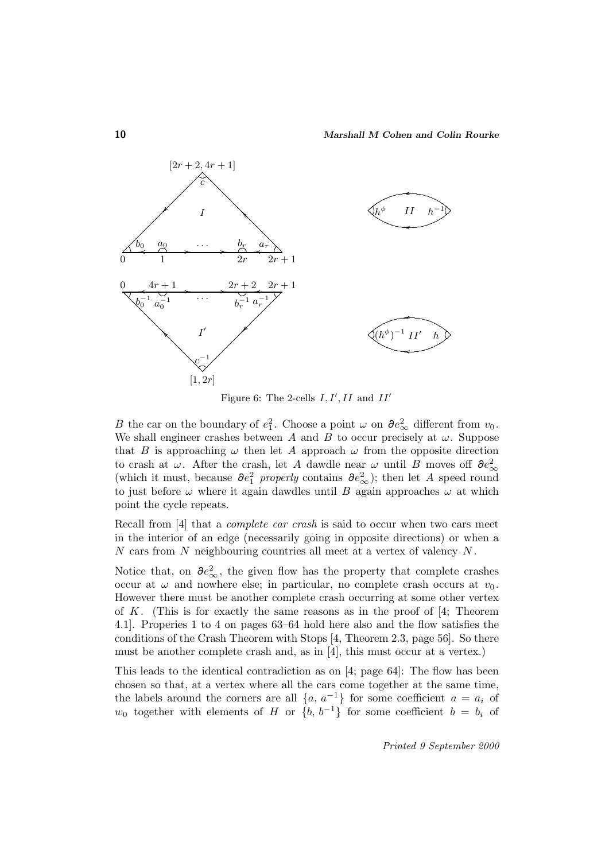

Figure 6: The 2-cells  $I, I', II$  and  $II'$ 

B the car on the boundary of  $e_1^2$ . Choose a point  $\omega$  on  $\partial e_{\infty}^2$  different from  $v_0$ . We shall engineer crashes between A and B to occur precisely at  $\omega$ . Suppose that B is approaching  $\omega$  then let A approach  $\omega$  from the opposite direction to crash at  $\omega$ . After the crash, let A dawdle near  $\omega$  until B moves off  $\partial e_{\infty}^2$ (which it must, because  $\partial e_1^2$  properly contains  $\partial e_\infty^2$ ); then let A speed round to just before  $\omega$  where it again dawdles until B again approaches  $\omega$  at which point the cycle repeats.

Recall from [4] that a complete car crash is said to occur when two cars meet in the interior of an edge (necessarily going in opposite directions) or when a  $N$  cars from  $N$  neighbouring countries all meet at a vertex of valency  $N$ .

Notice that, on  $\partial e_{\infty}^2$ , the given flow has the property that complete crashes occur at  $\omega$  and nowhere else; in particular, no complete crash occurs at  $v_0$ . However there must be another complete crash occurring at some other vertex of K. (This is for exactly the same reasons as in the proof of  $[4;$  Theorem 4.1]. Properies 1 to 4 on pages 63–64 hold here also and the flow satisfies the conditions of the Crash Theorem with Stops [4, Theorem 2.3, page 56]. So there must be another complete crash and, as in [4], this must occur at a vertex.)

This leads to the identical contradiction as on [4; page 64]: The flow has been chosen so that, at a vertex where all the cars come together at the same time, the labels around the corners are all  $\{a, a^{-1}\}$  for some coefficient  $a = a_i$  of  $w_0$  together with elements of H or  $\{b, b^{-1}\}\$  for some coefficient  $b = b_i$  of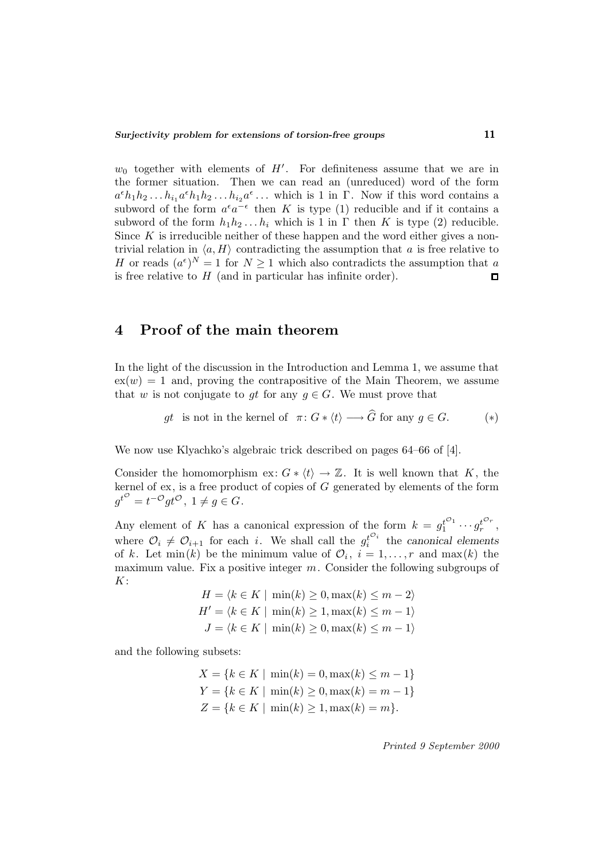$w_0$  together with elements of H'. For definiteness assume that we are in the former situation. Then we can read an (unreduced) word of the form  $a^{\epsilon}h_1h_2 \ldots h_{i_1}a^{\epsilon}h_1h_2 \ldots h_{i_2}a^{\epsilon} \ldots$  which is 1 in Γ. Now if this word contains a subword of the form  $a^{\epsilon}a^{-\epsilon}$  then K is type (1) reducible and if it contains a subword of the form  $h_1h_2 \ldots h_i$  which is 1 in  $\Gamma$  then K is type (2) reducible. Since  $K$  is irreducible neither of these happen and the word either gives a nontrivial relation in  $\langle a, H \rangle$  contradicting the assumption that a is free relative to H or reads  $(a^{\epsilon})^N = 1$  for  $N \geq 1$  which also contradicts the assumption that a is free relative to  $H$  (and in particular has infinite order).  $\Box$ 

## **4 Proof of the main theorem**

In the light of the discussion in the Introduction and Lemma 1, we assume that  $ex(w) = 1$  and, proving the contrapositive of the Main Theorem, we assume that w is not conjugate to gt for any  $g \in G$ . We must prove that

$$
gt
$$
 is not in the kernel of  $\pi: G * \langle t \rangle \longrightarrow G$  for any  $g \in G$ . (\*)

We now use Klyachko's algebraic trick described on pages 64–66 of [4].

Consider the homomorphism ex:  $G * \langle t \rangle \to \mathbb{Z}$ . It is well known that K, the kernel of  $ex$ , is a free product of copies of  $G$  generated by elements of the form  $g^{t^{\mathcal{O}}}=t^{-\mathcal{O}}gt^{\mathcal{O}}, 1 \neq g \in G.$ 

Any element of K has a canonical expression of the form  $k = g_1^{t^{O_1}} \cdots g_r^{t^{O_r}}$ , where  $\mathcal{O}_i \neq \mathcal{O}_{i+1}$  for each i. We shall call the  $g_i^{t^{\mathcal{O}_i}}$  the *canonical elements* of k. Let min(k) be the minimum value of  $\mathcal{O}_i$ ,  $i = 1, \ldots, r$  and max(k) the maximum value. Fix a positive integer  $m$ . Consider the following subgroups of  $K:$ 

$$
H = \langle k \in K \mid \min(k) \ge 0, \max(k) \le m - 2 \rangle
$$
  

$$
H' = \langle k \in K \mid \min(k) \ge 1, \max(k) \le m - 1 \rangle
$$
  

$$
J = \langle k \in K \mid \min(k) \ge 0, \max(k) \le m - 1 \rangle
$$

and the following subsets:

$$
X = \{k \in K \mid \min(k) = 0, \max(k) \le m - 1\}
$$
  
\n
$$
Y = \{k \in K \mid \min(k) \ge 0, \max(k) = m - 1\}
$$
  
\n
$$
Z = \{k \in K \mid \min(k) \ge 1, \max(k) = m\}.
$$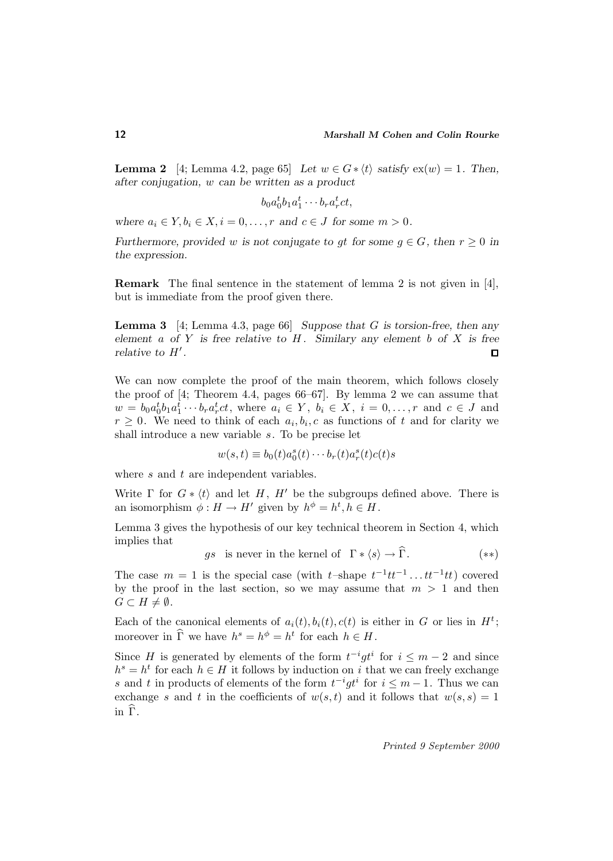**Lemma 2** [4; Lemma 4.2, page 65] Let  $w \in G * \langle t \rangle$  satisfy  $ex(w) = 1$ . Then, *after conjugation,* w *can be written as a product*

$$
b_0 a_0^t b_1 a_1^t \cdots b_r a_r^t c t,
$$

*where*  $a_i \in Y, b_i \in X, i = 0, \ldots, r$  *and*  $c \in J$  *for some*  $m > 0$ *.* 

*Furthermore, provided* w *is not conjugate to gt for some*  $g \in G$ *, then*  $r \geq 0$  *in the expression.*

**Remark** The final sentence in the statement of lemma 2 is not given in [4], but is immediate from the proof given there.

**Lemma 3** [4; Lemma 4.3, page 66] *Suppose that* G *is torsion-free, then any element* a *of* Y *is free relative to* H *. Similary any element* b *of* X *is free relative to*  $H'$ *.*  $\Box$ 

We can now complete the proof of the main theorem, which follows closely the proof of [4; Theorem 4.4, pages 66–67]. By lemma 2 we can assume that  $w = b_0 a_0^t b_1 a_1^t \cdots b_r a_r^t c_t$ , where  $a_i \in Y$ ,  $b_i \in X$ ,  $i = 0, \ldots, r$  and  $c \in J$  and  $r \geq 0$ . We need to think of each  $a_i, b_i, c$  as functions of t and for clarity we shall introduce a new variable s. To be precise let

$$
w(s,t) \equiv b_0(t)a_0^s(t)\cdots b_r(t)a_r^s(t)c(t)s
$$

where s and t are independent variables.

Write  $\Gamma$  for  $G * \langle t \rangle$  and let H, H' be the subgroups defined above. There is an isomorphism  $\phi: H \to H'$  given by  $h^{\phi} = h^t, h \in H$ .

Lemma 3 gives the hypothesis of our key technical theorem in Section 4, which implies that

gs is never in the kernel of  $\Gamma * \langle s \rangle \to \widehat{\Gamma}$ . (\*\*)

The case  $m = 1$  is the special case (with t–shape  $t^{-1}tt^{-1} \dots tt^{-1}tt$ ) covered by the proof in the last section, so we may assume that  $m > 1$  and then  $G \subset H \neq \emptyset$ .

Each of the canonical elements of  $a_i(t), b_i(t), c(t)$  is either in G or lies in  $H^t$ ; moreover in  $\widehat{\Gamma}$  we have  $h^s = h^{\phi} = h^t$  for each  $h \in H$ .

Since H is generated by elements of the form  $t^{-i}gt^i$  for  $i \leq m-2$  and since  $h^s = h^t$  for each  $h \in H$  it follows by induction on i that we can freely exchange s and t in products of elements of the form  $t^{-i}gt^i$  for  $i \leq m-1$ . Thus we can exchange s and t in the coefficients of  $w(s, t)$  and it follows that  $w(s, s)=1$ in  $\widehat{\Gamma}$ .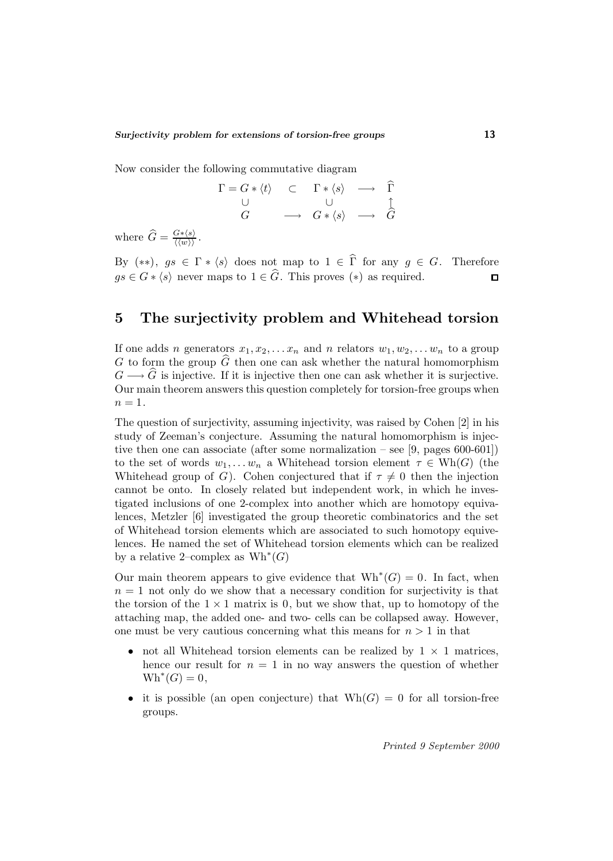Now consider the following commutative diagram

$$
\begin{array}{ccc}\n\Gamma = G * \langle t \rangle & \subset & \Gamma * \langle s \rangle & \longrightarrow & \widehat{\Gamma} \\
\cup & & \cup & \cup & \uparrow \\
G & \longrightarrow & G * \langle s \rangle & \longrightarrow & \widehat{G}\n\end{array}
$$

where  $\widehat{G} = \frac{G * \langle s \rangle}{\langle \langle w \rangle \rangle}$ .

By  $(**)$ ,  $gs \in \Gamma * \langle s \rangle$  does not map to  $1 \in \widehat{\Gamma}$  for any  $g \in G$ . Therefore  $gs \in G * \langle s \rangle$  never maps to  $1 \in \widehat{G}$ . This proves  $(*)$  as required.  $\Box$ 

## **5 The surjectivity problem and Whitehead torsion**

If one adds n generators  $x_1, x_2, \ldots x_n$  and n relators  $w_1, w_2, \ldots w_n$  to a group G to form the group  $\widehat{G}$  then one can ask whether the natural homomorphism  $G \longrightarrow \tilde{G}$  is injective. If it is injective then one can ask whether it is surjective. Our main theorem answers this question completely for torsion-free groups when  $n=1$ .

The question of surjectivity, assuming injectivity, was raised by Cohen [2] in his study of Zeeman's conjecture. Assuming the natural homomorphism is injective then one can associate (after some normalization – see [9, pages 600-601]) to the set of words  $w_1, \ldots w_n$  a Whitehead torsion element  $\tau \in Wh(G)$  (the Whitehead group of G). Cohen conjectured that if  $\tau \neq 0$  then the injection cannot be onto. In closely related but independent work, in which he investigated inclusions of one 2-complex into another which are homotopy equivalences, Metzler [6] investigated the group theoretic combinatorics and the set of Whitehead torsion elements which are associated to such homotopy equivelences. He named the set of Whitehead torsion elements which can be realized by a relative 2–complex as  $Wh^*(G)$ 

Our main theorem appears to give evidence that  $Wh^*(G) = 0$ . In fact, when  $n = 1$  not only do we show that a necessary condition for surjectivity is that the torsion of the  $1 \times 1$  matrix is 0, but we show that, up to homotopy of the attaching map, the added one- and two- cells can be collapsed away. However, one must be very cautious concerning what this means for  $n > 1$  in that

- not all Whitehead torsion elements can be realized by  $1 \times 1$  matrices, hence our result for  $n = 1$  in no way answers the question of whether  $Wh^*(G) = 0,$
- it is possible (an open conjecture) that  $Wh(G) = 0$  for all torsion-free groups.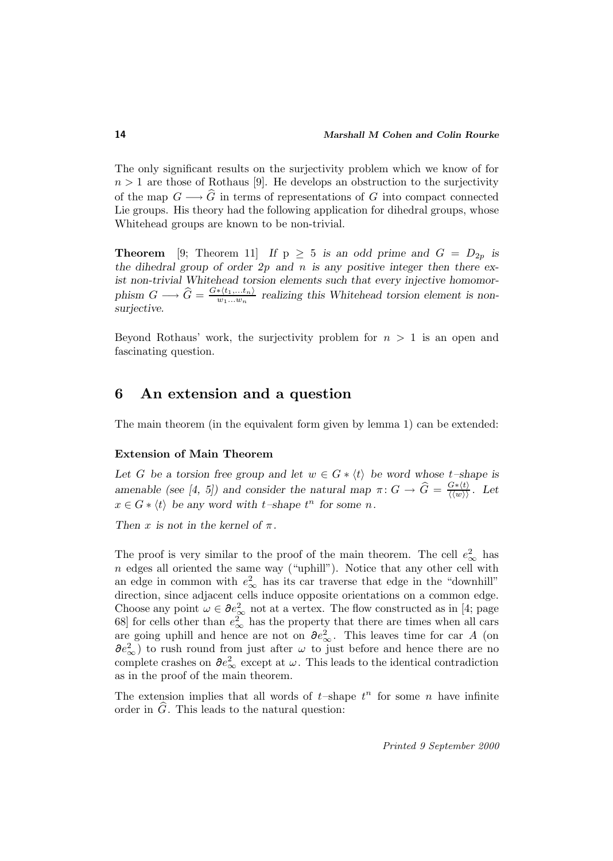The only significant results on the surjectivity problem which we know of for  $n > 1$  are those of Rothaus [9]. He develops an obstruction to the surjectivity of the map  $G \longrightarrow \widehat{G}$  in terms of representations of G into compact connected Lie groups. His theory had the following application for dihedral groups, whose Whitehead groups are known to be non-trivial.

**Theorem** [9; Theorem 11] *If*  $p \geq 5$  *is an odd prime and*  $G = D_{2p}$  *is the dihedral group of order 2*p *and* n *is any positive integer then there exist non-trivial Whitehead torsion elements such that every injective homomor*phism  $G \longrightarrow \hat{G} = \frac{G*(t_1,...t_n)}{w_1...w_n}$  realizing this Whitehead torsion element is non*surjective.*

Beyond Rothaus' work, the surjectivity problem for  $n > 1$  is an open and fascinating question.

## **6 An extension and a question**

The main theorem (in the equivalent form given by lemma 1) can be extended:

### **Extension of Main Theorem**

Let G be a torsion free group and let  $w \in G * \langle t \rangle$  be word whose t–shape is *amenable (see [4, 5]) and consider the natural map*  $\pi: G \to \widehat{G} = \frac{G*(t)}{\langle \langle w \rangle \rangle}$ . Let  $x \in G * \langle t \rangle$  be any word with  $t$ -shape  $t^n$  for some *n*.

*Then* x *is not in the kernel of*  $\pi$ *.* 

The proof is very similar to the proof of the main theorem. The cell  $e_{\infty}^2$  has  $n$  edges all oriented the same way ("uphill"). Notice that any other cell with an edge in common with  $e_{\infty}^2$  has its car traverse that edge in the "downhill" direction, since adjacent cells induce opposite orientations on a common edge. Choose any point  $\omega \in \partial e_{\infty}^2$  not at a vertex. The flow constructed as in [4; page 68] for cells other than  $e_{\infty}^2$  has the property that there are times when all cars are going uphill and hence are not on  $\partial e_{\infty}^2$ . This leaves time for car A (on  $\partial e_{\infty}^2$ ) to rush round from just after  $\omega$  to just before and hence there are no complete crashes on  $\partial e_{\infty}^2$  except at  $\omega$ . This leads to the identical contradiction as in the proof of the main theorem.

The extension implies that all words of  $t$ -shape  $t^n$  for some n have infinite order in  $\hat{G}$ . This leads to the natural question: